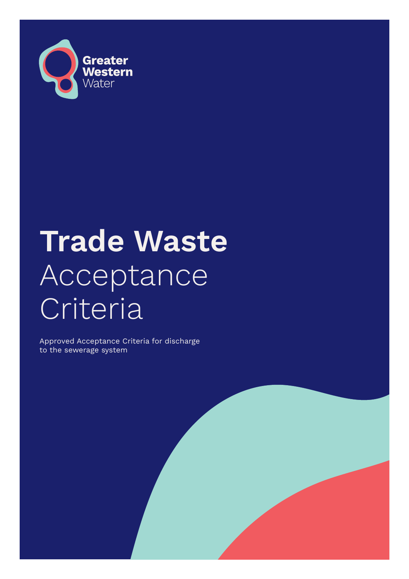

# **Trade Waste**  Acceptance Criteria

Approved Acceptance Criteria for discharge to the sewerage system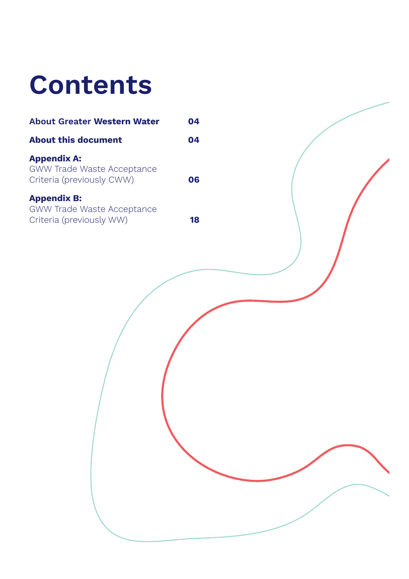## **Contents**

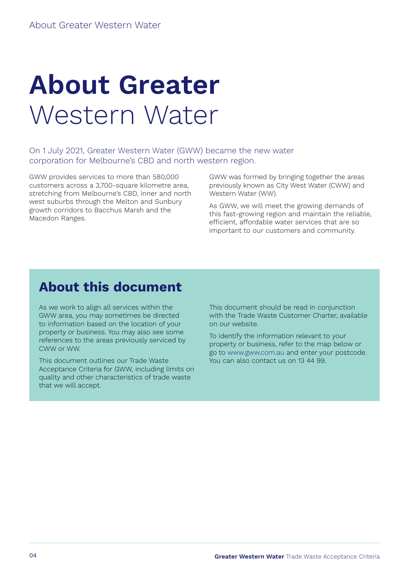# <span id="page-3-0"></span>**About Greater**  Western Water

On 1 July 2021, Greater Western Water (GWW) became the new water corporation for Melbourne's CBD and north western region.

GWW provides services to more than 580,000 customers across a 3,700-square kilometre area, stretching from Melbourne's CBD, inner and north west suburbs through the Melton and Sunbury growth corridors to Bacchus Marsh and the Macedon Ranges.

GWW was formed by bringing together the areas previously known as City West Water (CWW) and Western Water (WW).

As GWW, we will meet the growing demands of this fast-growing region and maintain the reliable, efficient, affordable water services that are so important to our customers and community.

### **About this document**

As we work to align all services within the GWW area, you may sometimes be directed to information based on the location of your property or business. You may also see some references to the areas previously serviced by CWW or WW.

This document outlines our Trade Waste Acceptance Criteria for GWW, including limits on quality and other characteristics of trade waste that we will accept.

This document should be read in conjunction with the Trade Waste Customer Charter, available on our website.

To identify the information relevant to your property or business, refer to the map below or go to [www.gww.com.au](http://www.gww.com.au) and enter your postcode. You can also contact us on 13 44 99.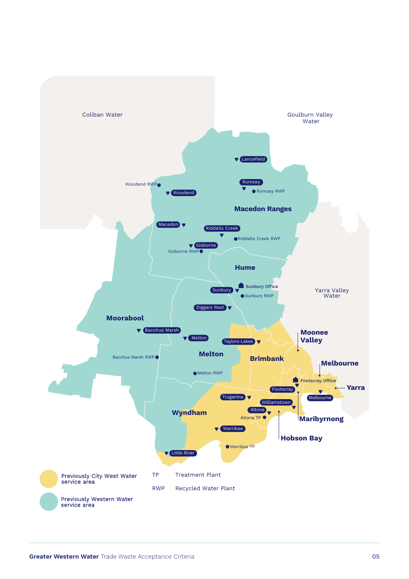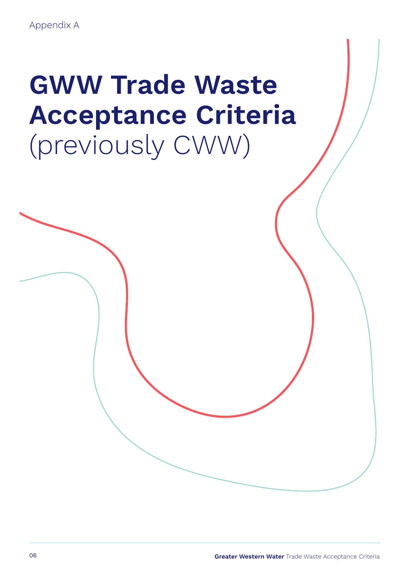# <span id="page-5-0"></span>**GWW Trade Waste Acceptance Criteria**  (previously CWW)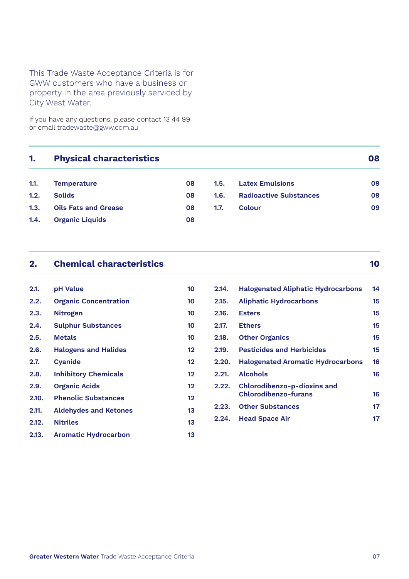### This Trade Waste Acceptance Criteria is for GWW customers who have a business or property in the area previously serviced by City West Water.

If you have any questions, please contact 13 44 99 or email [tradewaste@gww.com.au](mailto:tradewaste%40gww.com.au?subject=)

### **1. [Physical characteristics](#page-7-0) 08**

| 1.1. | <b>Temperature</b>        | 08 | 1.5. | <b>Latex Emulsions</b>        | 09 |
|------|---------------------------|----|------|-------------------------------|----|
| 1.2. | <b>Solids</b>             | 08 | 1.6. | <b>Radioactive Substances</b> | 09 |
|      | 1.3. Oils Fats and Grease | 08 | 1.7. | Colour                        | 09 |
|      | 1.4. Organic Liquids      | 08 |      |                               |    |

| 2.1.  | pH Value                     | 10 |
|-------|------------------------------|----|
| 2.2.  | <b>Organic Concentration</b> | 10 |
| 2.3.  | <b>Nitrogen</b>              | 10 |
| 2.4.  | <b>Sulphur Substances</b>    | 10 |
| 2.5.  | Metals                       | 10 |
| 2.6.  | <b>Halogens and Halides</b>  | 12 |
| 2.7.  | <b>Cyanide</b>               | 12 |
| 2.8.  | <b>Inhibitory Chemicals</b>  | 12 |
| 2.9.  | <b>Organic Acids</b>         | 12 |
| 2.10. | <b>Phenolic Substances</b>   | 12 |
| 2.11. | <b>Aldehydes and Ketones</b> | 13 |
| 2.12. | <b>Nitriles</b>              | 13 |
| 2.13. | <b>Aromatic Hydrocarbon</b>  | 13 |

# **2. [Chemical characteristics](#page-9-0) 10**

| 2.14. | <b>Halogenated Aliphatic Hydrocarbons</b>                         | 14 |
|-------|-------------------------------------------------------------------|----|
| 2.15. | <b>Aliphatic Hydrocarbons</b>                                     | 15 |
| 2.16. | <b>Esters</b>                                                     | 15 |
| 2.17. | <b>Ethers</b>                                                     | 15 |
| 2.18. | <b>Other Organics</b>                                             | 15 |
| 2.19. | <b>Pesticides and Herbicides</b>                                  | 15 |
| 2.20. | <b>Halogenated Aromatic Hydrocarbons</b>                          | 16 |
| 2.21. | <b>Alcohols</b>                                                   | 16 |
| 2.22. | <b>Chlorodibenzo-p-dioxins and</b><br><b>Chlorodibenzo-furans</b> | 16 |
| 2.23. | <b>Other Substances</b>                                           | 17 |
| 2.24. | <b>Head Space Air</b>                                             | 17 |
|       |                                                                   |    |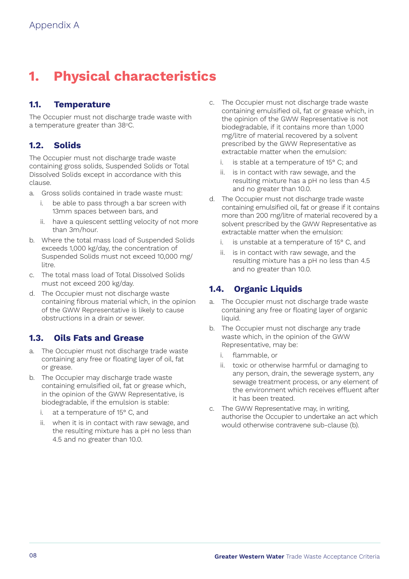### <span id="page-7-0"></span>**1. Physical characteristics**

### **1.1. Temperature**

The Occupier must not discharge trade waste with a temperature greater than 38°C.

### **1.2. Solids**

The Occupier must not discharge trade waste containing gross solids, Suspended Solids or Total Dissolved Solids except in accordance with this clause.

- a. Gross solids contained in trade waste must:
	- i. be able to pass through a bar screen with 13mm spaces between bars, and
	- ii. have a quiescent settling velocity of not more than 3m/hour.
- b. Where the total mass load of Suspended Solids exceeds 1,000 kg/day, the concentration of Suspended Solids must not exceed 10,000 mg/ litre.
- c. The total mass load of Total Dissolved Solids must not exceed 200 kg/day.
- d. The Occupier must not discharge waste containing fibrous material which, in the opinion of the GWW Representative is likely to cause obstructions in a drain or sewer.

### **1.3. Oils Fats and Grease**

- a. The Occupier must not discharge trade waste containing any free or floating layer of oil, fat or grease.
- b. The Occupier may discharge trade waste containing emulsified oil, fat or grease which, in the opinion of the GWW Representative, is biodegradable, if the emulsion is stable:
	- i. at a temperature of 15° C, and
	- ii. when it is in contact with raw sewage, and the resulting mixture has a pH no less than 4.5 and no greater than 10.0.
- c. The Occupier must not discharge trade waste containing emulsified oil, fat or grease which, in the opinion of the GWW Representative is not biodegradable, if it contains more than 1,000 mg/litre of material recovered by a solvent prescribed by the GWW Representative as extractable matter when the emulsion:
	- i. is stable at a temperature of 15° C; and
	- ii. is in contact with raw sewage, and the resulting mixture has a pH no less than 4.5 and no greater than 10.0.
- d. The Occupier must not discharge trade waste containing emulsified oil, fat or grease if it contains more than 200 mg/litre of material recovered by a solvent prescribed by the GWW Representative as extractable matter when the emulsion:
	- i. is unstable at a temperature of 15° C, and
	- ii. is in contact with raw sewage, and the resulting mixture has a pH no less than 4.5 and no greater than 10.0.

### **1.4. Organic Liquids**

- a. The Occupier must not discharge trade waste containing any free or floating layer of organic liquid.
- b. The Occupier must not discharge any trade waste which, in the opinion of the GWW Representative, may be:
	- i. flammable, or
	- ii. toxic or otherwise harmful or damaging to any person, drain, the sewerage system, any sewage treatment process, or any element of the environment which receives effluent after it has been treated.
- c. The GWW Representative may, in writing, authorise the Occupier to undertake an act which would otherwise contravene sub-clause (b).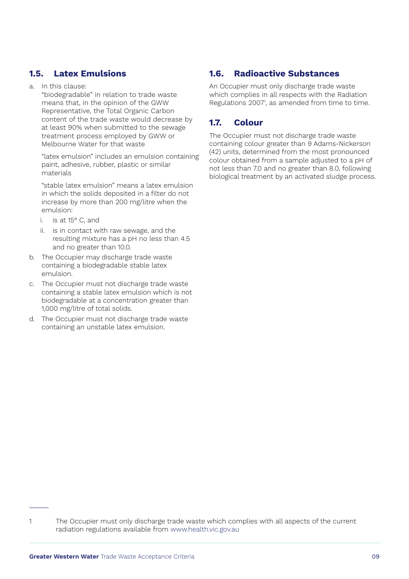### <span id="page-8-0"></span>**1.5. Latex Emulsions**

### a. In this clause:

"biodegradable" in relation to trade waste means that, in the opinion of the GWW Representative, the Total Organic Carbon content of the trade waste would decrease by at least 90% when submitted to the sewage treatment process employed by GWW or Melbourne Water for that waste

"latex emulsion" includes an emulsion containing paint, adhesive, rubber, plastic or similar materials

"stable latex emulsion" means a latex emulsion in which the solids deposited in a filter do not increase by more than 200 mg/litre when the emulsion:

- i. is at 15° C, and
- ii. is in contact with raw sewage, and the resulting mixture has a pH no less than 4.5 and no greater than 10.0.
- b. The Occupier may discharge trade waste containing a biodegradable stable latex emulsion.
- c. The Occupier must not discharge trade waste containing a stable latex emulsion which is not biodegradable at a concentration greater than 1,000 mg/litre of total solids.
- d. The Occupier must not discharge trade waste containing an unstable latex emulsion.

### **1.6. Radioactive Substances**

An Occupier must only discharge trade waste which complies in all respects with the Radiation Regulations 20071 , as amended from time to time.

### **1.7. Colour**

The Occupier must not discharge trade waste containing colour greater than 9 Adams-Nickerson (42) units, determined from the most pronounced colour obtained from a sample adjusted to a pH of not less than 7.0 and no greater than 8.0, following biological treatment by an activated sludge process.

<sup>1</sup> The Occupier must only discharge trade waste which complies with all aspects of the current radiation regulations available from [www.health.vic.gov.au](http://www.health.vic.gov.au)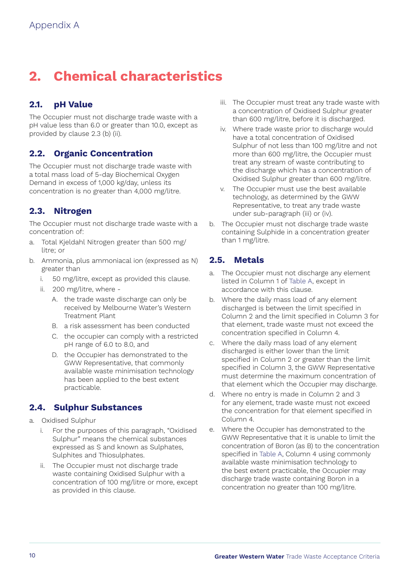### <span id="page-9-0"></span>**2. Chemical characteristics**

### **2.1. pH Value**

The Occupier must not discharge trade waste with a pH value less than 6.0 or greater than 10.0, except as provided by clause 2.3 (b) (ii).

### **2.2. Organic Concentration**

The Occupier must not discharge trade waste with a total mass load of 5-day Biochemical Oxygen Demand in excess of 1,000 kg/day, unless its concentration is no greater than 4,000 mg/litre.

### **2.3. Nitrogen**

The Occupier must not discharge trade waste with a concentration of:

- a. Total Kjeldahl Nitrogen greater than 500 mg/ litre; or
- b. Ammonia, plus ammoniacal ion (expressed as N) greater than
	- i. 50 mg/litre, except as provided this clause.
	- ii. 200 mg/litre, where
		- A. the trade waste discharge can only be received by Melbourne Water's Western Treatment Plant
		- B. a risk assessment has been conducted
		- C. the occupier can comply with a restricted pH range of 6.0 to 8.0, and
		- D. the Occupier has demonstrated to the GWW Representative, that commonly available waste minimisation technology has been applied to the best extent practicable.

### **2.4. Sulphur Substances**

- a. Oxidised Sulphur
	- i. For the purposes of this paragraph, "Oxidised Sulphur" means the chemical substances expressed as S and known as Sulphates, Sulphites and Thiosulphates.
	- ii. The Occupier must not discharge trade waste containing Oxidised Sulphur with a concentration of 100 mg/litre or more, except as provided in this clause.
- iii. The Occupier must treat any trade waste with a concentration of Oxidised Sulphur greater than 600 mg/litre, before it is discharged.
- iv. Where trade waste prior to discharge would have a total concentration of Oxidised Sulphur of not less than 100 mg/litre and not more than 600 mg/litre, the Occupier must treat any stream of waste contributing to the discharge which has a concentration of Oxidised Sulphur greater than 600 mg/litre.
- v. The Occupier must use the best available technology, as determined by the GWW Representative, to treat any trade waste under sub-paragraph (iii) or (iv).
- b. The Occupier must not discharge trade waste containing Sulphide in a concentration greater than 1 mg/litre.

### **2.5. Metals**

- a. The Occupier must not discharge any element listed in Column 1 of [Table A,](#page-10-0) except in accordance with this clause.
- b. Where the daily mass load of any element discharged is between the limit specified in Column 2 and the limit specified in Column 3 for that element, trade waste must not exceed the concentration specified in Column 4.
- c. Where the daily mass load of any element discharged is either lower than the limit specified in Column 2 or greater than the limit specified in Column 3, the GWW Representative must determine the maximum concentration of that element which the Occupier may discharge.
- d. Where no entry is made in Column 2 and 3 for any element, trade waste must not exceed the concentration for that element specified in Column 4.
- e. Where the Occupier has demonstrated to the GWW Representative that it is unable to limit the concentration of Boron (as B) to the concentration specified in [Table A,](#page-10-0) Column 4 using commonly available waste minimisation technology to the best extent practicable, the Occupier may discharge trade waste containing Boron in a concentration no greater than 100 mg/litre.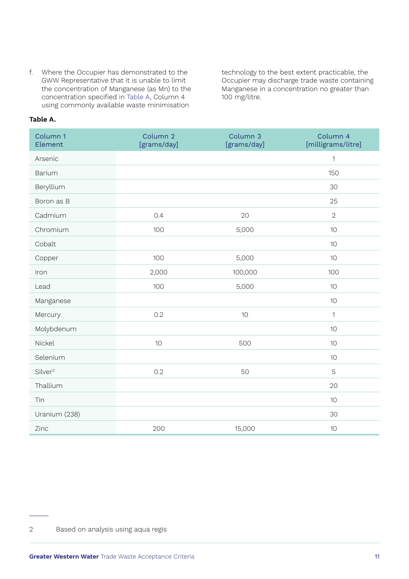f. Where the Occupier has demonstrated to the GWW Representative that it is unable to limit the concentration of Manganese (as Mn) to the concentration specified in [Table A](#page-10-0), Column 4 using commonly available waste minimisation

technology to the best extent practicable, the Occupier may discharge trade waste containing Manganese in a concentration no greater than 100 mg/litre.

### <span id="page-10-0"></span>**Table A.**

| Column 1<br>Element | Column 2<br>[grams/day] | Column 3<br>[grams/day] | Column 4<br>[milligrams/litre] |
|---------------------|-------------------------|-------------------------|--------------------------------|
| Arsenic             |                         |                         | $\mathbf{1}$                   |
| <b>Barium</b>       |                         |                         | 150                            |
| Beryllium           |                         |                         | 30                             |
| Boron as B          |                         |                         | 25                             |
| Cadmium             | 0.4                     | 20                      | $\overline{2}$                 |
| Chromium            | 100                     | 5,000                   | 10                             |
| Cobalt              |                         |                         | 10                             |
| Copper              | 100                     | 5,000                   | 10                             |
| Iron                | 2,000                   | 100,000                 | 100                            |
| Lead                | 100                     | 5,000                   | 10                             |
| Manganese           |                         |                         | 10                             |
| Mercury             | 0.2                     | 10                      | 1                              |
| Molybdenum          |                         |                         | 10                             |
| Nickel              | 10                      | 500                     | 10                             |
| Selenium            |                         |                         | 10                             |
| Silver <sup>2</sup> | 0.2                     | 50                      | 5                              |
| Thallium            |                         |                         | 20                             |
| Tin                 |                         |                         | 10                             |
| Uranium (238)       |                         |                         | 30                             |
| Zinc                | 200                     | 15,000                  | 10                             |

<sup>2</sup> Based on analysis using aqua regis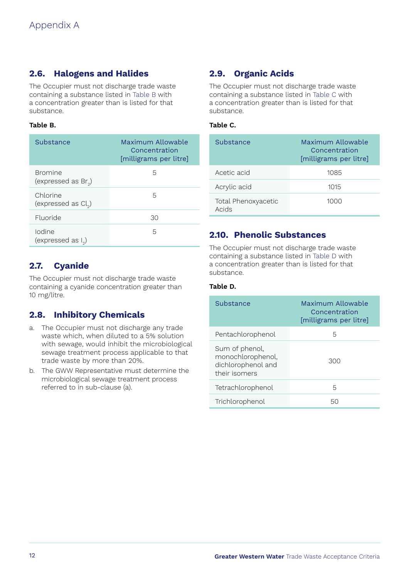### <span id="page-11-0"></span>**2.6. Halogens and Halides**

The Occupier must not discharge trade waste containing a substance listed in [Table B](#page-11-1) with a concentration greater than is listed for that substance.

### **Table B.**

| Substance                                   | Maximum Allowable<br>Concentration<br>[milligrams per litre] |
|---------------------------------------------|--------------------------------------------------------------|
| <b>Bromine</b><br>(expressed as $Br_{2}$ )  | 5                                                            |
| Chlorine<br>(expressed as Cl <sub>2</sub> ) | 5                                                            |
| Fluoride                                    | 30                                                           |
| Iodine<br>(expressed as $I_{2}$ )           | 5                                                            |

### **2.7. Cyanide**

The Occupier must not discharge trade waste containing a cyanide concentration greater than 10 mg/litre.

### **2.8. Inhibitory Chemicals**

- a. The Occupier must not discharge any trade waste which, when diluted to a 5% solution with sewage, would inhibit the microbiological sewage treatment process applicable to that trade waste by more than 20%.
- b. The GWW Representative must determine the microbiological sewage treatment process referred to in sub-clause (a).

### **2.9. Organic Acids**

The Occupier must not discharge trade waste containing a substance listed in [Table C](#page-11-2) with a concentration greater than is listed for that substance.

### <span id="page-11-1"></span>**Table C.**

<span id="page-11-2"></span>

| Substance                    | Maximum Allowable<br>Concentration<br>[milligrams per litre] |
|------------------------------|--------------------------------------------------------------|
| Acetic acid                  | 1085                                                         |
| Acrylic acid                 | 1015                                                         |
| Total Phenoxyacetic<br>Acids | 1000                                                         |

### **2.10. Phenolic Substances**

The Occupier must not discharge trade waste containing a substance listed in [Table D](#page-11-3) with a concentration greater than is listed for that substance.

#### **Table D.**

<span id="page-11-3"></span>

| Substance                                                                  | Maximum Allowable<br>Concentration<br>[milligrams per litre] |
|----------------------------------------------------------------------------|--------------------------------------------------------------|
| Pentachlorophenol                                                          | 5                                                            |
| Sum of phenol,<br>monochlorophenol,<br>dichlorophenol and<br>their isomers | 300                                                          |
| Tetrachlorophenol                                                          | 5                                                            |
| Trichlorophenol                                                            | 50                                                           |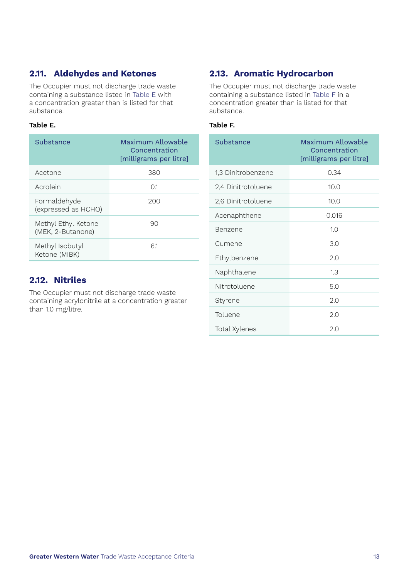### <span id="page-12-0"></span>**2.11. Aldehydes and Ketones**

The Occupier must not discharge trade waste containing a substance listed in [Table E](#page-12-1) with a concentration greater than is listed for that substance.

### **Table E.**

| Substance                                | Maximum Allowable<br>Concentration<br>[milligrams per litre] |
|------------------------------------------|--------------------------------------------------------------|
| Acetone                                  | 380                                                          |
| Acrolein                                 | 01                                                           |
| Formaldehyde<br>(expressed as HCHO)      | 200                                                          |
| Methyl Ethyl Ketone<br>(MEK, 2-Butanone) | 90                                                           |
| Methyl Isobutyl<br>Ketone (MIBK)         | 61                                                           |

### **2.12. Nitriles**

The Occupier must not discharge trade waste containing acrylonitrile at a concentration greater than 1.0 mg/litre.

### **2.13. Aromatic Hydrocarbon**

The Occupier must not discharge trade waste containing a substance listed in [Table F](#page-12-2) in a concentration greater than is listed for that substance.

### <span id="page-12-1"></span>**Table F.**

<span id="page-12-2"></span>

| Substance          | Maximum Allowable<br>Concentration<br>[milligrams per litre] |
|--------------------|--------------------------------------------------------------|
| 1,3 Dinitrobenzene | 0.34                                                         |
| 2,4 Dinitrotoluene | 10.0                                                         |
| 2,6 Dinitrotoluene | 10.0                                                         |
| Acenaphthene       | 0.016                                                        |
| Benzene            | 1.0                                                          |
| Cumene             | 3.0                                                          |
| Ethylbenzene       | 2.0                                                          |
| Naphthalene        | 1.3                                                          |
| Nitrotoluene       | 5.0                                                          |
| Styrene            | 2.0                                                          |
| Toluene            | 2.0                                                          |
| Total Xylenes      | 2.0                                                          |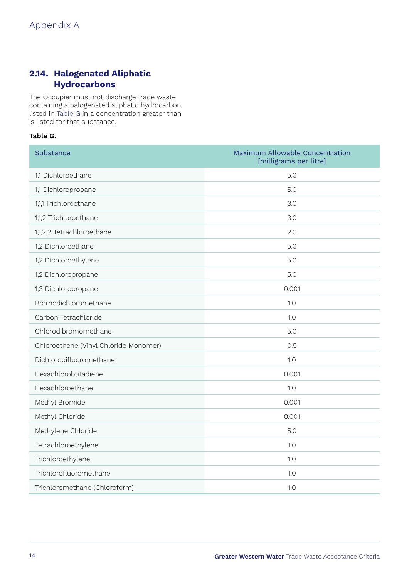### <span id="page-13-0"></span>**2.14. Halogenated Aliphatic Hydrocarbons**

The Occupier must not discharge trade waste containing a halogenated aliphatic hydrocarbon listed in [Table G](#page-13-1) in a concentration greater than is listed for that substance.

### <span id="page-13-1"></span>**Table G.**

| Substance                             | Maximum Allowable Concentration<br>[milligrams per litre] |
|---------------------------------------|-----------------------------------------------------------|
| 1,1 Dichloroethane                    | 5.0                                                       |
| 1,1 Dichloropropane                   | 5.0                                                       |
| 1,1,1 Trichloroethane                 | 3.0                                                       |
| 1,1,2 Trichloroethane                 | 3.0                                                       |
| 1,1,2,2 Tetrachloroethane             | 2.0                                                       |
| 1,2 Dichloroethane                    | 5.0                                                       |
| 1,2 Dichloroethylene                  | 5.0                                                       |
| 1,2 Dichloropropane                   | 5.0                                                       |
| 1,3 Dichloropropane                   | 0.001                                                     |
| Bromodichloromethane                  | 1.0                                                       |
| Carbon Tetrachloride                  | 1.0                                                       |
| Chlorodibromomethane                  | 5.0                                                       |
| Chloroethene (Vinyl Chloride Monomer) | 0.5                                                       |
| Dichlorodifluoromethane               | 1.0                                                       |
| Hexachlorobutadiene                   | 0.001                                                     |
| Hexachloroethane                      | 1.0                                                       |
| Methyl Bromide                        | 0.001                                                     |
| Methyl Chloride                       | 0.001                                                     |
| Methylene Chloride                    | 5.0                                                       |
| Tetrachloroethylene                   | 1.0                                                       |
| Trichloroethylene                     | 1.0                                                       |
| Trichlorofluoromethane                | 1.0                                                       |
| Trichloromethane (Chloroform)         | 1.0                                                       |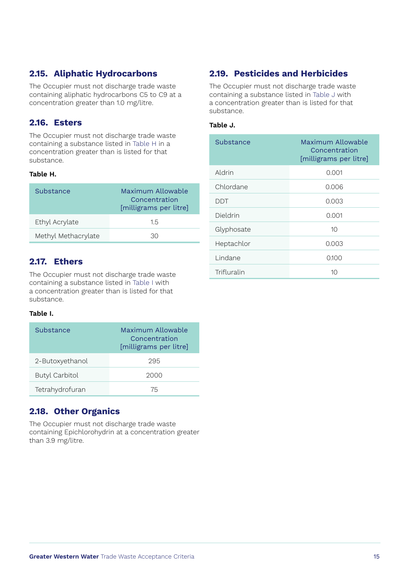### <span id="page-14-0"></span>**2.15. Aliphatic Hydrocarbons**

The Occupier must not discharge trade waste containing aliphatic hydrocarbons C5 to C9 at a concentration greater than 1.0 mg/litre.

### **2.16. Esters**

The Occupier must not discharge trade waste containing a substance listed in [Table H](#page-14-1) in a concentration greater than is listed for that substance.

### **Table H.**

| Substance           | Maximum Allowable<br>Concentration<br>[milligrams per litre] |
|---------------------|--------------------------------------------------------------|
| Ethyl Acrylate      | 15                                                           |
| Methyl Methacrylate | 30                                                           |

### **2.17. Ethers**

The Occupier must not discharge trade waste containing a substance listed in [Table I](#page-14-2) with a concentration greater than is listed for that substance.

### <span id="page-14-2"></span>**Table I.**

| Substance             | Maximum Allowable<br>Concentration<br>[milligrams per litre] |
|-----------------------|--------------------------------------------------------------|
| 2-Butoxyethanol       | 295                                                          |
| <b>Butyl Carbitol</b> | 2000                                                         |
| Tetrahydrofuran       | 75                                                           |

### **2.18. Other Organics**

The Occupier must not discharge trade waste containing Epichlorohydrin at a concentration greater than 3.9 mg/litre.

### **2.19. Pesticides and Herbicides**

The Occupier must not discharge trade waste containing a substance listed in [Table J](#page-14-3) with a concentration greater than is listed for that substance.

### **Table J.**

<span id="page-14-3"></span><span id="page-14-1"></span>

| Substance   | Maximum Allowable<br>Concentration<br>[milligrams per litre] |
|-------------|--------------------------------------------------------------|
| Aldrin      | 0.001                                                        |
| Chlordane   | 0.006                                                        |
| DDT         | 0.003                                                        |
| Dieldrin    | 0.001                                                        |
| Glyphosate  | 10                                                           |
| Heptachlor  | 0.003                                                        |
| Lindane     | 0.100                                                        |
| Trifluralin | 10                                                           |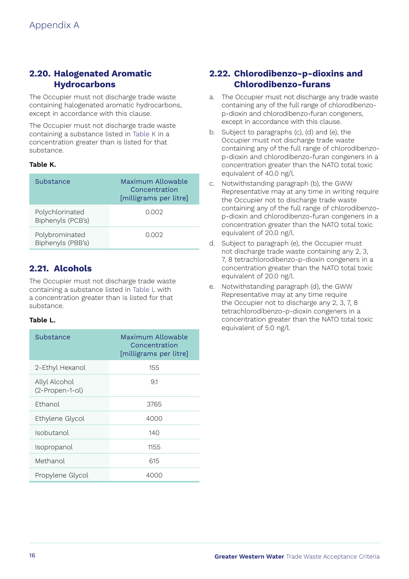### <span id="page-15-0"></span>**2.20. Halogenated Aromatic Hydrocarbons**

The Occupier must not discharge trade waste containing halogenated aromatic hydrocarbons, except in accordance with this clause.

The Occupier must not discharge trade waste containing a substance listed in [Table K](#page-15-1) in a concentration greater than is listed for that substance.

### **Table K.**

| Substance                            | Maximum Allowable<br>Concentration<br>[milligrams per litre] |
|--------------------------------------|--------------------------------------------------------------|
| Polychlorinated<br>Biphenyls (PCB's) | 0.002                                                        |
| Polybrominated<br>Biphenyls (PBB's)  | 0.002                                                        |

### **2.21. Alcohols**

The Occupier must not discharge trade waste containing a substance listed in [Table L](#page-15-2) with a concentration greater than is listed for that substance.

### **Table L.**

| Substance                        | Maximum Allowable<br>Concentration<br>[milligrams per litre] |
|----------------------------------|--------------------------------------------------------------|
| 2-Ethyl Hexanol                  | 155                                                          |
| Allyl Alcohol<br>(2-Propen-1-ol) | 91                                                           |
| Fthanol                          | 3765                                                         |
| Ethylene Glycol                  | 4000                                                         |
| Isobutanol                       | 140                                                          |
| Isopropanol                      | 1155                                                         |
| Methanol                         | 615                                                          |
| Propylene Glycol                 | 4000                                                         |

### **2.22. Chlorodibenzo-p-dioxins and Chlorodibenzo-furans**

- a. The Occupier must not discharge any trade waste containing any of the full range of chlorodibenzop-dioxin and chlorodibenzo-furan congeners, except in accordance with this clause.
- b. Subject to paragraphs (c), (d) and (e), the Occupier must not discharge trade waste containing any of the full range of chlorodibenzop-dioxin and chlorodibenzo-furan congeners in a concentration greater than the NATO total toxic equivalent of 40.0 ng/l.
- <span id="page-15-1"></span>c. Notwithstanding paragraph (b), the GWW Representative may at any time in writing require the Occupier not to discharge trade waste containing any of the full range of chlorodibenzop-dioxin and chlorodibenzo-furan congeners in a concentration greater than the NATO total toxic equivalent of 20.0 ng/l.
- d. Subject to paragraph (e), the Occupier must not discharge trade waste containing any 2, 3, 7, 8 tetrachlorodibenzo-p-dioxin congeners in a concentration greater than the NATO total toxic equivalent of 20.0 ng/l.
- <span id="page-15-2"></span>e. Notwithstanding paragraph (d), the GWW Representative may at any time require the Occupier not to discharge any 2, 3, 7, 8 tetrachlorodibenzo-p-dioxin congeners in a concentration greater than the NATO total toxic equivalent of 5.0 ng/l.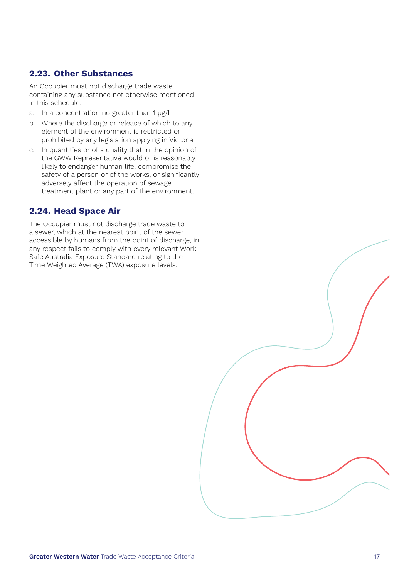### <span id="page-16-0"></span>**2.23. Other Substances**

An Occupier must not discharge trade waste containing any substance not otherwise mentioned in this schedule:

- a. In a concentration no greater than 1 µg/l
- b. Where the discharge or release of which to any element of the environment is restricted or prohibited by any legislation applying in Victoria
- c. In quantities or of a quality that in the opinion of the GWW Representative would or is reasonably likely to endanger human life, compromise the safety of a person or of the works, or significantly adversely affect the operation of sewage treatment plant or any part of the environment.

### **2.24. Head Space Air**

The Occupier must not discharge trade waste to a sewer, which at the nearest point of the sewer accessible by humans from the point of discharge, in any respect fails to comply with every relevant Work Safe Australia Exposure Standard relating to the Time Weighted Average (TWA) exposure levels.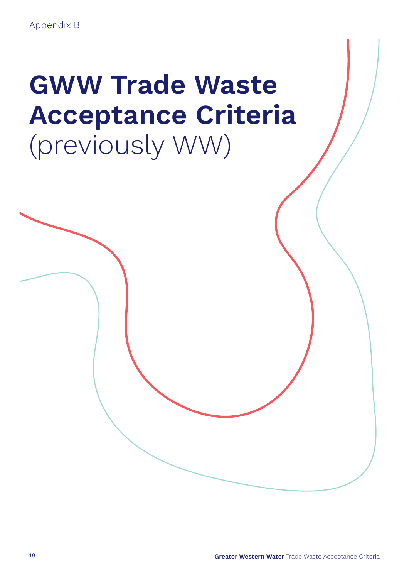# <span id="page-17-0"></span>**GWW Trade Waste Acceptance Criteria**  (previously WW)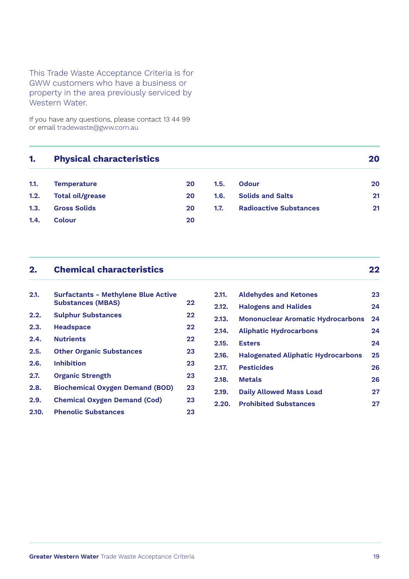### This Trade Waste Acceptance Criteria is for GWW customers who have a business or property in the area previously serviced by Western Water.

If you have any questions, please contact 13 44 99 or email [tradewaste@gww.com.au](mailto:tradewaste%40gww.com.au?subject=)

| 1.   | <b>Physical characteristics</b> |    |      |                               | 20 |
|------|---------------------------------|----|------|-------------------------------|----|
| 1.1. | <b>Temperature</b>              | 20 | 1.5. | Odour                         | 20 |
| 1.2. | <b>Total oil/grease</b>         | 20 | 1.6. | <b>Solids and Salts</b>       | 21 |
| 1.3. | <b>Gross Solids</b>             | 20 | 1.7. | <b>Radioactive Substances</b> | 21 |
| 1.4. | Colour                          | 20 |      |                               |    |

### **2. [Chemical characteristics](#page-21-0) 22**

| 2.1.  | <b>Surfactants - Methylene Blue Active</b><br><b>Substances (MBAS)</b> | 22 |
|-------|------------------------------------------------------------------------|----|
| 2.2.  | <b>Sulphur Substances</b>                                              | 22 |
| 2.3.  | <b>Headspace</b>                                                       | 22 |
| 2.4.  | <b>Nutrients</b>                                                       | 22 |
| 2.5.  | <b>Other Organic Substances</b>                                        | 23 |
| 2.6.  | <b>Inhibition</b>                                                      | 23 |
| 2.7.  | <b>Organic Strength</b>                                                | 23 |
| 2.8.  | <b>Biochemical Oxygen Demand (BOD)</b>                                 | 23 |
| 2.9.  | <b>Chemical Oxygen Demand (Cod)</b>                                    | 23 |
| 2.10. | <b>Phenolic Substances</b>                                             | 23 |

### **2.11. [Aldehydes and Ketones](#page-22-0) 23 2.12. [Halogens and Halides](#page-23-0) 24 [2.13. Mononuclear Aromatic Hydrocarbons](#page-23-0) 24 2.14. [Aliphatic Hydrocarbons](#page-23-0) 24 2.15. [Esters](#page-23-0) 24 [2.16. Halogenated Aliphatic Hydrocarbons](#page-24-0) 25 2.17. [Pesticides](#page-25-0) 26 2.18. [Metals](#page-25-0) 26 2.19. [Daily Allowed Mass Load](#page-26-0) 27 2.20. [Prohibited Substances](#page-26-0) 27**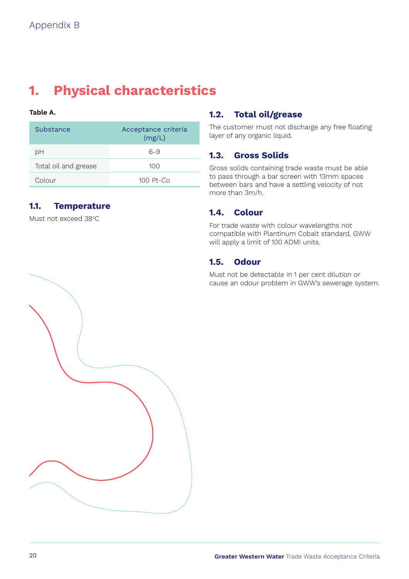### <span id="page-19-0"></span>**1. Physical characteristics**

### **Table A.**

| Substance            | Acceptance criteria<br>(mg/L) |
|----------------------|-------------------------------|
| рH                   | $6 - 9$                       |
| Total oil and grease | 100                           |
| Colour               | $100$ Pt-Co                   |

### **1.1. Temperature**

Must not exceed 38°C

### **1.2. Total oil/grease**

The customer must not discharge any free floating layer of any organic liquid.

### **1.3. Gross Solids**

Gross solids containing trade waste must be able to pass through a bar screen with 13mm spaces between bars and have a settling velocity of not more than 3m/h.

### **1.4. Colour**

For trade waste with colour wavelengths not compatible with Plantinum Cobalt standard, GWW will apply a limit of 100 ADMI units.

### **1.5. Odour**

Must not be detectable in 1 per cent dilution or cause an odour problem in GWW's sewerage system.

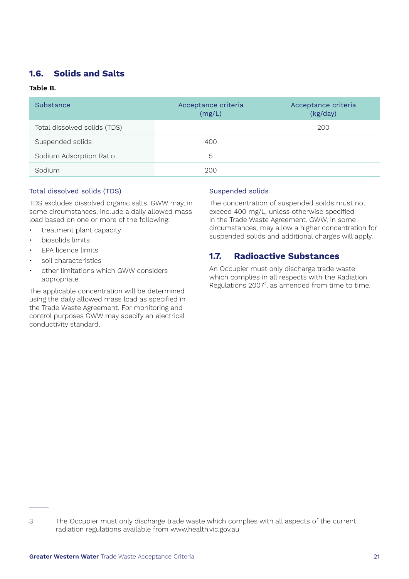### <span id="page-20-0"></span>**1.6. Solids and Salts**

### **Table B.**

| Substance                    | Acceptance criteria<br>(mg/L) | Acceptance criteria<br>(kg/day) |
|------------------------------|-------------------------------|---------------------------------|
| Total dissolved solids (TDS) |                               | 200                             |
| Suspended solids             | 400                           |                                 |
| Sodium Adsorption Ratio      | 5                             |                                 |
| Sodium                       | 200                           |                                 |

### Total dissolved solids (TDS)

TDS excludes dissolved organic salts. GWW may, in some circumstances, include a daily allowed mass load based on one or more of the following:

- treatment plant capacity
- biosolids limits
- EPA licence limits
- soil characteristics
- other limitations which GWW considers appropriate

The applicable concentration will be determined using the daily allowed mass load as specified in the Trade Waste Agreement. For monitoring and control purposes GWW may specify an electrical conductivity standard.

### Suspended solids

The concentration of suspended soilds must not exceed 400 mg/L, unless otherwise specified in the Trade Waste Agreement. GWW, in some circumstances, may allow a higher concentration for suspended solids and additional charges will apply.

### **1.7. Radioactive Substances**

An Occupier must only discharge trade waste which complies in all respects with the Radiation Regulations 20073 , as amended from time to time.

<sup>3</sup> The Occupier must only discharge trade waste which complies with all aspects of the current radiation regulations available from [www.health.vic.gov.au](http://www.health.vic.gov.au)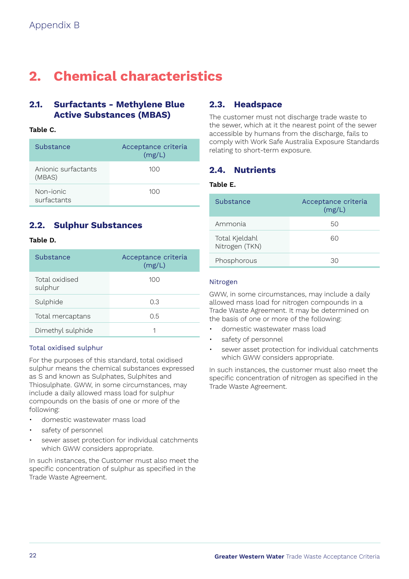### <span id="page-21-0"></span>**2. Chemical characteristics**

### **2.1. Surfactants - Methylene Blue Active Substances (MBAS)**

### **Table C.**

| Substance                     | Acceptance criteria<br>(mg/L) |
|-------------------------------|-------------------------------|
| Anionic surfactants<br>(MBAS) | 100                           |
| Non-jonic<br>surfactants      | 100                           |

### **2.2. Sulphur Substances**

### **Table D.**

| Substance                 | Acceptance criteria<br>(mg/L) |
|---------------------------|-------------------------------|
| Total oxidised<br>sulphur | 100                           |
| Sulphide                  | 0.3                           |
| Total mercaptans          | 0.5                           |
| Dimethyl sulphide         | 1                             |

### Total oxidised sulphur

For the purposes of this standard, total oxidised sulphur means the chemical substances expressed as S and known as Sulphates, Sulphites and Thiosulphate. GWW, in some circumstances, may include a daily allowed mass load for sulphur compounds on the basis of one or more of the following:

- domestic wastewater mass load
- safety of personnel
- sewer asset protection for individual catchments which GWW considers appropriate.

In such instances, the Customer must also meet the specific concentration of sulphur as specified in the Trade Waste Agreement.

### **2.3. Headspace**

The customer must not discharge trade waste to the sewer, which at it the nearest point of the sewer accessible by humans from the discharge, fails to comply with Work Safe Australia Exposure Standards relating to short-term exposure.

### **2.4. Nutrients**

### **Table E.**

| Substance                        | Acceptance criteria<br>(mg/L) |
|----------------------------------|-------------------------------|
| Ammonia                          | 50                            |
| Total Kjeldahl<br>Nitrogen (TKN) | ഹ                             |
| Phosphorous                      | 30                            |

### Nitrogen

GWW, in some circumstances, may include a daily allowed mass load for nitrogen compounds in a Trade Waste Agreement. It may be determined on the basis of one or more of the following:

- domestic wastewater mass load
- safety of personnel
- sewer asset protection for individual catchments which GWW considers appropriate.

In such instances, the customer must also meet the specific concentration of nitrogen as specified in the Trade Waste Agreement.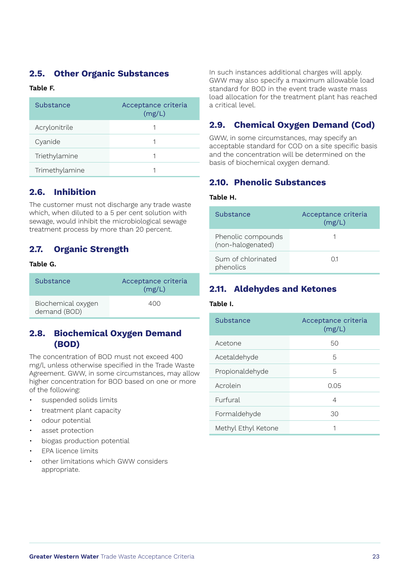### <span id="page-22-0"></span>**2.5. Other Organic Substances**

### **Table F.**

| Substance      | Acceptance criteria<br>(mg/L) |
|----------------|-------------------------------|
| Acrylonitrile  |                               |
| Cyanide        |                               |
| Triethylamine  |                               |
| Trimethylamine |                               |

### **2.6. Inhibition**

The customer must not discharge any trade waste which, when diluted to a 5 per cent solution with sewage, would inhibit the microbiological sewage treatment process by more than 20 percent.

### **2.7. Organic Strength**

### **Table G.**

| Substance                          | Acceptance criteria<br>(mg/L) |
|------------------------------------|-------------------------------|
| Biochemical oxygen<br>demand (BOD) | 400                           |

### **2.8. Biochemical Oxygen Demand (BOD)**

The concentration of BOD must not exceed 400 mg/l, unless otherwise specified in the Trade Waste Agreement. GWW, in some circumstances, may allow higher concentration for BOD based on one or more of the following:

- suspended solids limits
- treatment plant capacity
- odour potential
- asset protection
- biogas production potential
- EPA licence limits
- other limitations which GWW considers appropriate.

In such instances additional charges will apply. GWW may also specify a maximum allowable load standard for BOD in the event trade waste mass load allocation for the treatment plant has reached a critical level.

### **2.9. Chemical Oxygen Demand (Cod)**

GWW, in some circumstances, may specify an acceptable standard for COD on a site specific basis and the concentration will be determined on the basis of biochemical oxygen demand.

### **2.10. Phenolic Substances**

#### **Table H.**

| Substance                               | Acceptance criteria<br>(mg/L) |
|-----------------------------------------|-------------------------------|
| Phenolic compounds<br>(non-halogenated) |                               |
| Sum of chlorinated<br>phenolics         | 01                            |

### **2.11. Aldehydes and Ketones**

#### **Table I.**

| Substance           | Acceptance criteria<br>(mg/L) |
|---------------------|-------------------------------|
| Acetone             | 50                            |
| Acetaldehyde        | 5                             |
| Propionaldehyde     | 5                             |
| Acrolein            | 0.05                          |
| Furfural            | 4                             |
| Formaldehyde        | 30                            |
| Methyl Ethyl Ketone |                               |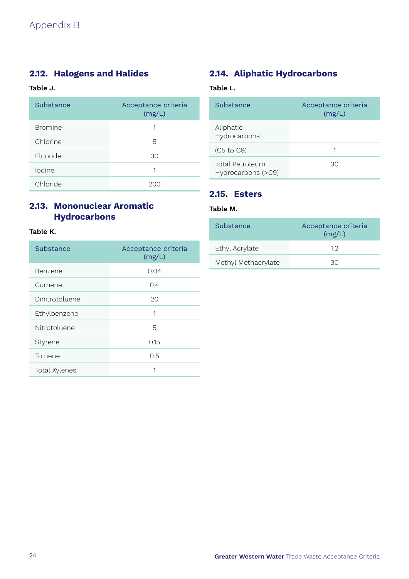### <span id="page-23-0"></span>**2.12. Halogens and Halides**

### **Table J.**

| Substance      | Acceptance criteria<br>(mg/L) |
|----------------|-------------------------------|
| <b>Bromine</b> | 1                             |
| Chlorine       | 5                             |
| Fluoride       | 30                            |
| Iodine         | 1                             |
| Chloride       |                               |

### **2.13. Mononuclear Aromatic Hydrocarbons**

### **Table K.**

| Substance      | Acceptance criteria<br>(mg/L) |
|----------------|-------------------------------|
| Benzene        | 0.04                          |
| Cumene         | 0.4                           |
| Dinitrotoluene | 20                            |
| Ethylbenzene   | 1                             |
| Nitrotoluene   | 5                             |
| Styrene        | 0.15                          |
| Toluene        | 0.5                           |
| Total Xylenes  | 1                             |

### **2.14. Aliphatic Hydrocarbons**

### **Table L.**

| Substance                             | Acceptance criteria<br>(mg/L) |
|---------------------------------------|-------------------------------|
| Aliphatic<br>Hydrocarbons             |                               |
| $(C5 \text{ to } C9)$                 | 1                             |
| Total Petroleum<br>Hydrocarbons (>C9) | 30                            |

### **2.15. Esters**

### **Table M.**

| Substance           | Acceptance criteria<br>(mg/L) |
|---------------------|-------------------------------|
| Ethyl Acrylate      | 12                            |
| Methyl Methacrylate | 30                            |
|                     |                               |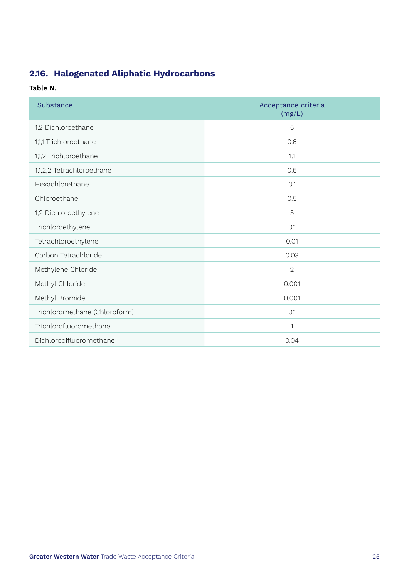### <span id="page-24-0"></span>**2.16. Halogenated Aliphatic Hydrocarbons**

### **Table N.**

| Substance                     | Acceptance criteria<br>(mg/L) |
|-------------------------------|-------------------------------|
| 1,2 Dichloroethane            | 5                             |
| 1,1,1 Trichloroethane         | 0.6                           |
| 1,1,2 Trichloroethane         | 1.1                           |
| 1,1,2,2 Tetrachloroethane     | 0.5                           |
| Hexachlorethane               | 0.1                           |
| Chloroethane                  | 0.5                           |
| 1,2 Dichloroethylene          | 5                             |
| Trichloroethylene             | 0.1                           |
| Tetrachloroethylene           | 0.01                          |
| Carbon Tetrachloride          | 0.03                          |
| Methylene Chloride            | $\overline{2}$                |
| Methyl Chloride               | 0.001                         |
| Methyl Bromide                | 0.001                         |
| Trichloromethane (Chloroform) | 0.1                           |
| Trichlorofluoromethane        | 1                             |
| Dichlorodifluoromethane       | 0.04                          |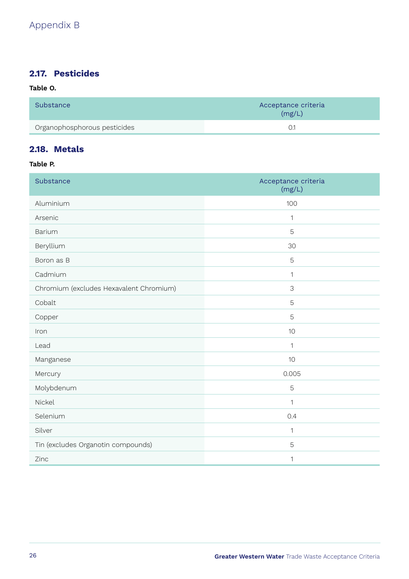### <span id="page-25-0"></span>**2.17. Pesticides**

### **Table O.**

| Substance                    | Acceptance criteria<br>(mg/L) |
|------------------------------|-------------------------------|
| Organophosphorous pesticides |                               |

### **2.18. Metals**

### **Table P.**

| Substance                               | Acceptance criteria<br>(mg/L) |
|-----------------------------------------|-------------------------------|
| Aluminium                               | 100                           |
| Arsenic                                 | 1                             |
| Barium                                  | 5                             |
| Beryllium                               | 30                            |
| Boron as B                              | 5                             |
| Cadmium                                 | $\mathbf{1}$                  |
| Chromium (excludes Hexavalent Chromium) | 3                             |
| Cobalt                                  | 5                             |
| Copper                                  | 5                             |
| Iron                                    | 10                            |
| Lead                                    | $\mathbf{1}$                  |
| Manganese                               | 10                            |
| Mercury                                 | 0.005                         |
| Molybdenum                              | 5                             |
| Nickel                                  | 1                             |
| Selenium                                | 0.4                           |
| Silver                                  | $\mathbf{1}$                  |
| Tin (excludes Organotin compounds)      | 5                             |
| Zinc                                    | 1                             |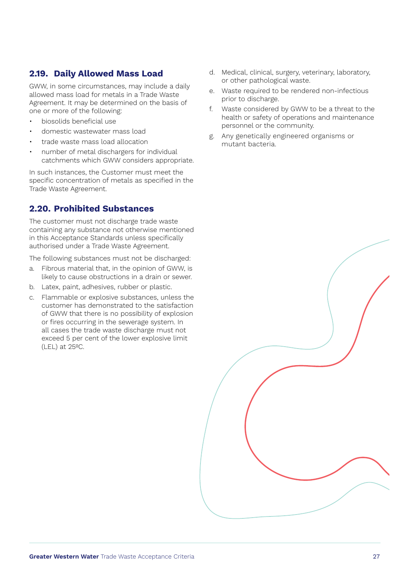### <span id="page-26-0"></span>**2.19. Daily Allowed Mass Load**

GWW, in some circumstances, may include a daily allowed mass load for metals in a Trade Waste Agreement. It may be determined on the basis of one or more of the following:

- biosolids beneficial use
- domestic wastewater mass load
- trade waste mass load allocation
- number of metal dischargers for individual catchments which GWW considers appropriate.

In such instances, the Customer must meet the specific concentration of metals as specified in the Trade Waste Agreement.

### **2.20. Prohibited Substances**

The customer must not discharge trade waste containing any substance not otherwise mentioned in this Acceptance Standards unless specifically authorised under a Trade Waste Agreement.

The following substances must not be discharged:

- a. Fibrous material that, in the opinion of GWW, is likely to cause obstructions in a drain or sewer.
- b. Latex, paint, adhesives, rubber or plastic.
- c. Flammable or explosive substances, unless the customer has demonstrated to the satisfaction of GWW that there is no possibility of explosion or fires occurring in the sewerage system. In all cases the trade waste discharge must not exceed 5 per cent of the lower explosive limit (LEL) at 25ºC.
- d. Medical, clinical, surgery, veterinary, laboratory, or other pathological waste.
- e. Waste required to be rendered non-infectious prior to discharge.
- f. Waste considered by GWW to be a threat to the health or safety of operations and maintenance personnel or the community.
- g. Any genetically engineered organisms or mutant bacteria.